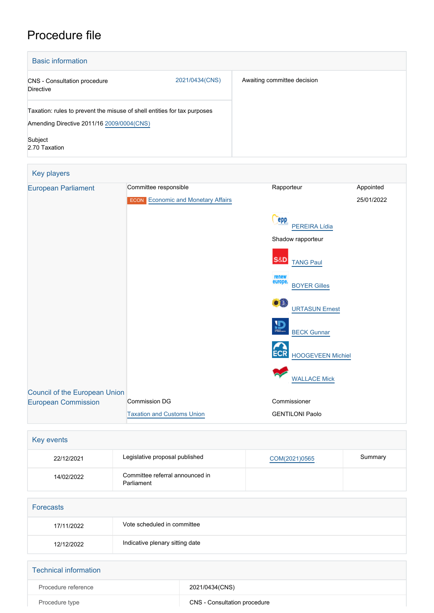# Procedure file

| <b>Basic information</b>                         |                                                                          |            |            |
|--------------------------------------------------|--------------------------------------------------------------------------|------------|------------|
| <b>CNS</b> - Consultation procedure<br>Directive | 2021/0434(CNS)                                                           |            |            |
| Amending Directive 2011/16 2009/0004(CNS)        | Taxation: rules to prevent the misuse of shell entities for tax purposes |            |            |
| Subject<br>2.70 Taxation                         |                                                                          |            |            |
| Key players                                      |                                                                          |            |            |
| <b>European Parliament</b>                       | Committee responsible                                                    | Rapporteur | Appointed  |
|                                                  | <b>ECON</b> Economic and Monetary Affairs                                |            | 25/01/2022 |
|                                                  |                                                                          |            |            |

|                               | - - - - - - -                     |                                         |
|-------------------------------|-----------------------------------|-----------------------------------------|
|                               |                                   | <b>epp</b><br>PEREIRA Lídia             |
|                               |                                   | Shadow rapporteur                       |
|                               |                                   | <b>S&amp;D</b><br><b>TANG Paul</b>      |
|                               |                                   | renew<br>europe.<br><b>BOYER Gilles</b> |
|                               |                                   | ●粗<br><b>URTASUN Ernest</b>             |
|                               |                                   | $\mathbf{D}$<br><b>BECK Gunnar</b>      |
|                               |                                   | <b>ECR</b><br><b>HOOGEVEEN Michiel</b>  |
|                               |                                   | <b>WALLACE Mick</b>                     |
| Council of the European Union |                                   |                                         |
| <b>European Commission</b>    | <b>Commission DG</b>              | Commissioner                            |
|                               | <b>Taxation and Customs Union</b> | <b>GENTILONI Paolo</b>                  |

| Legislative proposal published                | COM(2021)0565 | Summary |
|-----------------------------------------------|---------------|---------|
| Committee referral announced in<br>Parliament |               |         |
|                                               |               |         |
|                                               |               |         |
| Vote scheduled in committee                   |               |         |
| Indicative plenary sitting date               |               |         |
|                                               |               |         |

| Technical information |                              |
|-----------------------|------------------------------|
| Procedure reference   | 2021/0434(CNS)               |
| Procedure type        | CNS - Consultation procedure |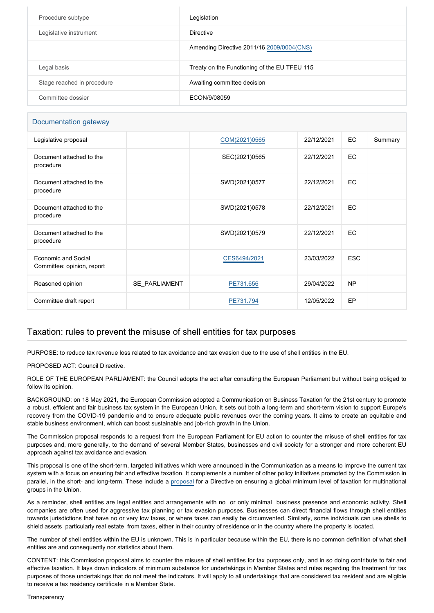| Procedure subtype          | Legislation                                  |
|----------------------------|----------------------------------------------|
| Legislative instrument     | <b>Directive</b>                             |
|                            | Amending Directive 2011/16 2009/0004 (CNS)   |
| Legal basis                | Treaty on the Functioning of the EU TFEU 115 |
| Stage reached in procedure | Awaiting committee decision                  |
| Committee dossier          | ECON/9/08059                                 |

### Documentation gateway

| Legislative proposal                              |               | COM(2021)0565 | 22/12/2021 | EC         | Summary |
|---------------------------------------------------|---------------|---------------|------------|------------|---------|
| Document attached to the<br>procedure             |               | SEC(2021)0565 | 22/12/2021 | EC.        |         |
| Document attached to the<br>procedure             |               | SWD(2021)0577 | 22/12/2021 | EC.        |         |
| Document attached to the<br>procedure             |               | SWD(2021)0578 | 22/12/2021 | EC         |         |
| Document attached to the<br>procedure             |               | SWD(2021)0579 | 22/12/2021 | EC.        |         |
| Economic and Social<br>Committee: opinion, report |               | CES6494/2021  | 23/03/2022 | <b>ESC</b> |         |
| Reasoned opinion                                  | SE PARLIAMENT | PE731.656     | 29/04/2022 | <b>NP</b>  |         |
| Committee draft report                            |               | PE731.794     | 12/05/2022 | EP         |         |

## Taxation: rules to prevent the misuse of shell entities for tax purposes

PURPOSE: to reduce tax revenue loss related to tax avoidance and tax evasion due to the use of shell entities in the EU.

PROPOSED ACT: Council Directive.

ROLE OF THE EUROPEAN PARLIAMENT: the Council adopts the act after consulting the European Parliament but without being obliged to follow its opinion.

BACKGROUND: on 18 May 2021, the European Commission adopted a Communication on Business Taxation for the 21st century to promote a robust, efficient and fair business tax system in the European Union. It sets out both a long-term and short-term vision to support Europe's recovery from the COVID-19 pandemic and to ensure adequate public revenues over the coming years. It aims to create an equitable and stable business environment, which can boost sustainable and job-rich growth in the Union.

The Commission proposal responds to a request from the European Parliament for EU action to counter the misuse of shell entities for tax purposes and, more generally, to the demand of several Member States, businesses and civil society for a stronger and more coherent EU approach against tax avoidance and evasion.

This proposal is one of the short-term, targeted initiatives which were announced in the Communication as a means to improve the current tax system with a focus on ensuring fair and effective taxation. It complements a number of other policy initiatives promoted by the Commission in parallel, in the short- and long-term. These include a [proposal](https://oeil.secure.europarl.europa.eu/oeil/popups/ficheprocedure.do?reference=2021/0433(CNS)&l=en) for a Directive on ensuring a global minimum level of taxation for multinational groups in the Union.

As a reminder, shell entities are legal entities and arrangements with no or only minimal business presence and economic activity. Shell companies are often used for aggressive tax planning or tax evasion purposes. Businesses can direct financial flows through shell entities towards jurisdictions that have no or very low taxes, or where taxes can easily be circumvented. Similarly, some individuals can use shells to shield assets particularly real estate from taxes, either in their country of residence or in the country where the property is located.

The number of shell entities within the EU is unknown. This is in particular because within the EU, there is no common definition of what shell entities are and consequently nor statistics about them.

CONTENT: this Commission proposal aims to counter the misuse of shell entities for tax purposes only, and in so doing contribute to fair and effective taxation. It lays down indicators of minimum substance for undertakings in Member States and rules regarding the treatment for tax purposes of those undertakings that do not meet the indicators. It will apply to all undertakings that are considered tax resident and are eligible to receive a tax residency certificate in a Member State.